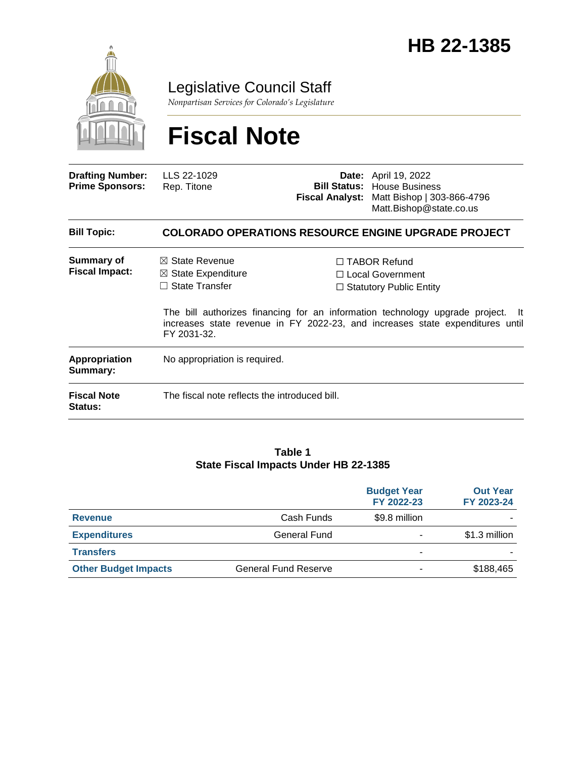

Legislative Council Staff

*Nonpartisan Services for Colorado's Legislature*

# **Fiscal Note**

| <b>Drafting Number:</b><br><b>Prime Sponsors:</b> | LLS 22-1029<br>Rep. Titone                                                                  |  | <b>Date:</b> April 19, 2022<br><b>Bill Status: House Business</b><br>Fiscal Analyst: Matt Bishop   303-866-4796<br>Matt.Bishop@state.co.us                                                                                                                |  |
|---------------------------------------------------|---------------------------------------------------------------------------------------------|--|-----------------------------------------------------------------------------------------------------------------------------------------------------------------------------------------------------------------------------------------------------------|--|
| <b>Bill Topic:</b>                                | <b>COLORADO OPERATIONS RESOURCE ENGINE UPGRADE PROJECT</b>                                  |  |                                                                                                                                                                                                                                                           |  |
| Summary of<br><b>Fiscal Impact:</b>               | $\boxtimes$ State Revenue<br>$\boxtimes$ State Expenditure<br>State Transfer<br>FY 2031-32. |  | $\Box$ TABOR Refund<br>$\Box$ Local Government<br>$\Box$ Statutory Public Entity<br>The bill authorizes financing for an information technology upgrade project.<br>- It<br>increases state revenue in FY 2022-23, and increases state expenditures until |  |
| Appropriation<br>Summary:                         | No appropriation is required.                                                               |  |                                                                                                                                                                                                                                                           |  |
| <b>Fiscal Note</b><br><b>Status:</b>              | The fiscal note reflects the introduced bill.                                               |  |                                                                                                                                                                                                                                                           |  |

#### **Table 1 State Fiscal Impacts Under HB 22-1385**

|                             |                             | <b>Budget Year</b><br>FY 2022-23 | <b>Out Year</b><br>FY 2023-24 |
|-----------------------------|-----------------------------|----------------------------------|-------------------------------|
| <b>Revenue</b>              | Cash Funds                  | \$9.8 million                    |                               |
| <b>Expenditures</b>         | <b>General Fund</b>         | ٠                                | \$1.3 million                 |
| <b>Transfers</b>            |                             | ٠                                |                               |
| <b>Other Budget Impacts</b> | <b>General Fund Reserve</b> | ۰                                | \$188,465                     |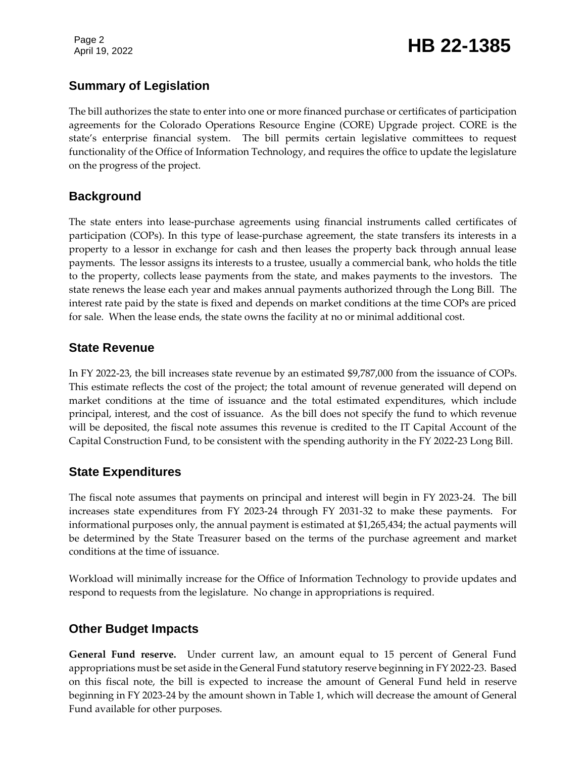Page 2

## Page 2<br>April 19, 2022 **HB 22-1385**

#### **Summary of Legislation**

The bill authorizes the state to enter into one or more financed purchase or certificates of participation agreements for the Colorado Operations Resource Engine (CORE) Upgrade project. CORE is the state's enterprise financial system. The bill permits certain legislative committees to request functionality of the Office of Information Technology, and requires the office to update the legislature on the progress of the project.

#### **Background**

The state enters into lease-purchase agreements using financial instruments called certificates of participation (COPs). In this type of lease-purchase agreement, the state transfers its interests in a property to a lessor in exchange for cash and then leases the property back through annual lease payments. The lessor assigns its interests to a trustee, usually a commercial bank, who holds the title to the property, collects lease payments from the state, and makes payments to the investors. The state renews the lease each year and makes annual payments authorized through the Long Bill. The interest rate paid by the state is fixed and depends on market conditions at the time COPs are priced for sale. When the lease ends, the state owns the facility at no or minimal additional cost.

#### **State Revenue**

In FY 2022-23, the bill increases state revenue by an estimated \$9,787,000 from the issuance of COPs. This estimate reflects the cost of the project; the total amount of revenue generated will depend on market conditions at the time of issuance and the total estimated expenditures, which include principal, interest, and the cost of issuance. As the bill does not specify the fund to which revenue will be deposited, the fiscal note assumes this revenue is credited to the IT Capital Account of the Capital Construction Fund, to be consistent with the spending authority in the FY 2022-23 Long Bill.

### **State Expenditures**

The fiscal note assumes that payments on principal and interest will begin in FY 2023-24. The bill increases state expenditures from FY 2023-24 through FY 2031-32 to make these payments. For informational purposes only, the annual payment is estimated at \$1,265,434; the actual payments will be determined by the State Treasurer based on the terms of the purchase agreement and market conditions at the time of issuance.

Workload will minimally increase for the Office of Information Technology to provide updates and respond to requests from the legislature. No change in appropriations is required.

#### **Other Budget Impacts**

**General Fund reserve.** Under current law, an amount equal to 15 percent of General Fund appropriations must be set aside in the General Fund statutory reserve beginning in FY 2022-23. Based on this fiscal note, the bill is expected to increase the amount of General Fund held in reserve beginning in FY 2023-24 by the amount shown in Table 1, which will decrease the amount of General Fund available for other purposes.